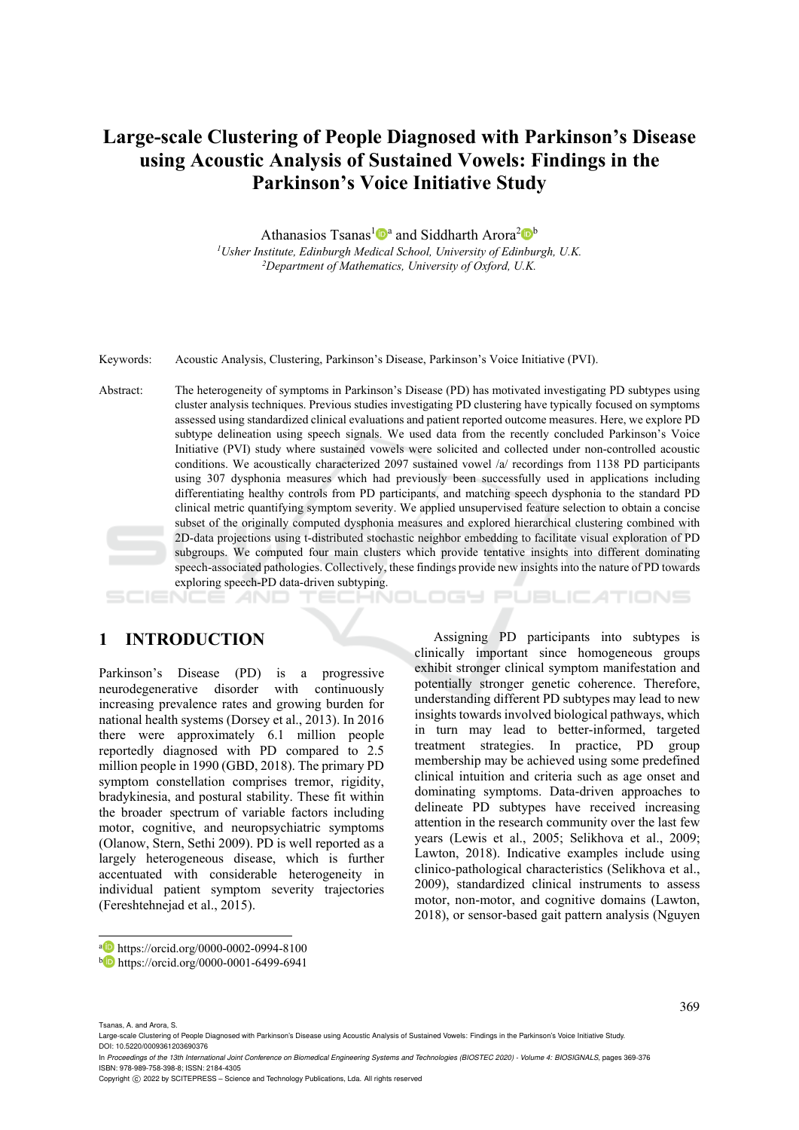# **Large-scale Clustering of People Diagnosed with Parkinson's Disease using Acoustic Analysis of Sustained Vowels: Findings in the Parkinson's Voice Initiative Study**

Athanasios Tsanas<sup>1</sup><sup>0</sup><sup>a</sup> and Siddharth Arora<sup>2</sup><sup>b</sup> *1Usher Institute, Edinburgh Medical School, University of Edinburgh, U.K. 2Department of Mathematics, University of Oxford, U.K.* 

Keywords: Acoustic Analysis, Clustering, Parkinson's Disease, Parkinson's Voice Initiative (PVI).

Abstract: The heterogeneity of symptoms in Parkinson's Disease (PD) has motivated investigating PD subtypes using cluster analysis techniques. Previous studies investigating PD clustering have typically focused on symptoms assessed using standardized clinical evaluations and patient reported outcome measures. Here, we explore PD subtype delineation using speech signals. We used data from the recently concluded Parkinson's Voice Initiative (PVI) study where sustained vowels were solicited and collected under non-controlled acoustic conditions. We acoustically characterized 2097 sustained vowel /a/ recordings from 1138 PD participants using 307 dysphonia measures which had previously been successfully used in applications including differentiating healthy controls from PD participants, and matching speech dysphonia to the standard PD clinical metric quantifying symptom severity. We applied unsupervised feature selection to obtain a concise subset of the originally computed dysphonia measures and explored hierarchical clustering combined with 2D-data projections using t-distributed stochastic neighbor embedding to facilitate visual exploration of PD subgroups. We computed four main clusters which provide tentative insights into different dominating speech-associated pathologies. Collectively, these findings provide new insights into the nature of PD towards exploring speech-PD data-driven subtyping.

ואחר

### **1 INTRODUCTION**

Parkinson's Disease (PD) is a progressive neurodegenerative disorder with continuously increasing prevalence rates and growing burden for national health systems (Dorsey et al., 2013). In 2016 there were approximately 6.1 million people reportedly diagnosed with PD compared to 2.5 million people in 1990 (GBD, 2018). The primary PD symptom constellation comprises tremor, rigidity, bradykinesia, and postural stability. These fit within the broader spectrum of variable factors including motor, cognitive, and neuropsychiatric symptoms (Olanow, Stern, Sethi 2009). PD is well reported as a largely heterogeneous disease, which is further accentuated with considerable heterogeneity in individual patient symptom severity trajectories (Fereshtehnejad et al., 2015).

Assigning PD participants into subtypes is clinically important since homogeneous groups exhibit stronger clinical symptom manifestation and potentially stronger genetic coherence. Therefore, understanding different PD subtypes may lead to new insights towards involved biological pathways, which in turn may lead to better-informed, targeted treatment strategies. In practice, PD group membership may be achieved using some predefined clinical intuition and criteria such as age onset and dominating symptoms. Data-driven approaches to delineate PD subtypes have received increasing attention in the research community over the last few years (Lewis et al., 2005; Selikhova et al., 2009; Lawton, 2018). Indicative examples include using clinico-pathological characteristics (Selikhova et al., 2009), standardized clinical instruments to assess motor, non-motor, and cognitive domains (Lawton, 2018), or sensor-based gait pattern analysis (Nguyen

PUBLIC ATIONS

 $\overline{a}$ 

a https://orcid.org/0000-0002-0994-8100<br>b https://orcid.org/0000-0001-6499-6941

Tsanas, A. and Arora, S.

Large-scale Clustering of People Diagnosed with Parkinson's Disease using Acoustic Analysis of Sustained Vowels: Findings in the Parkinson's Voice Initiative Study. DOI: 10.5220/0009361203690376

In *Proceedings of the 13th International Joint Conference on Biomedical Engineering Systems and Technologies (BIOSTEC 2020) - Volume 4: BIOSIGNALS*, pages 369-376 ISBN: 978-989-758-398-8; ISSN: 2184-4305

Copyright C 2022 by SCITEPRESS - Science and Technology Publications, Lda. All rights reserved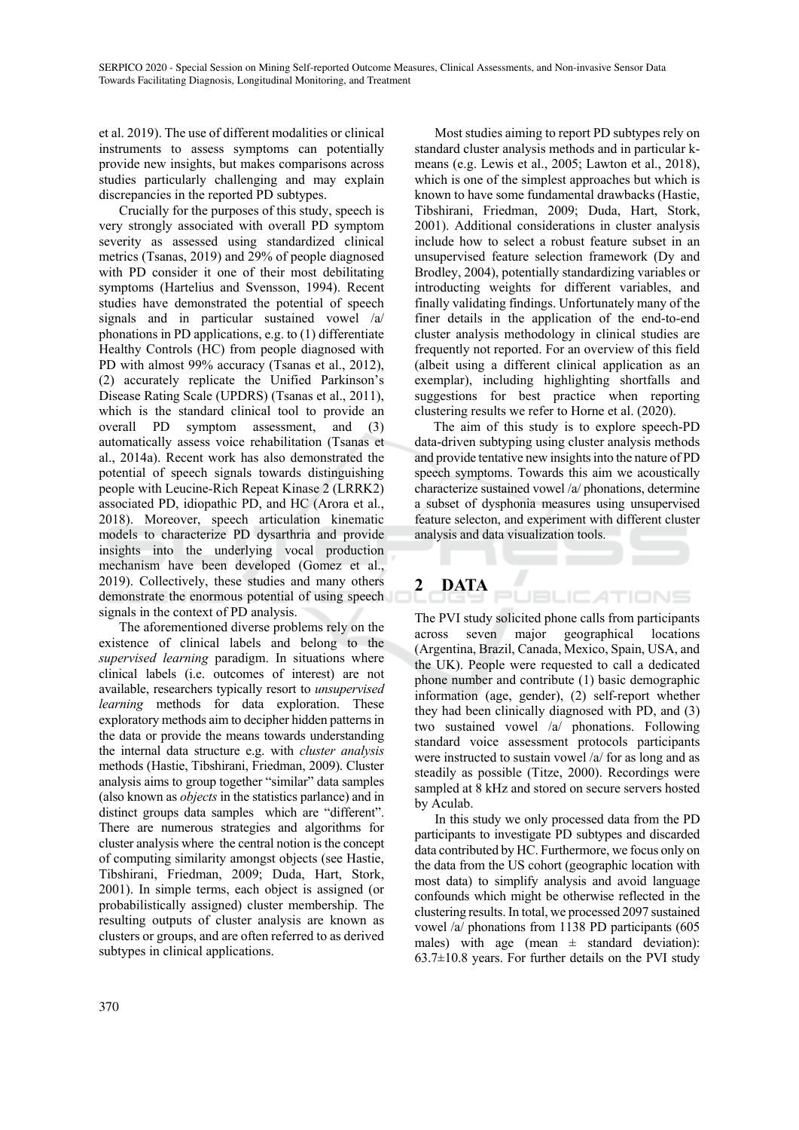et al. 2019). The use of different modalities or clinical instruments to assess symptoms can potentially provide new insights, but makes comparisons across studies particularly challenging and may explain discrepancies in the reported PD subtypes.

Crucially for the purposes of this study, speech is very strongly associated with overall PD symptom severity as assessed using standardized clinical metrics (Tsanas, 2019) and 29% of people diagnosed with PD consider it one of their most debilitating symptoms (Hartelius and Svensson, 1994). Recent studies have demonstrated the potential of speech signals and in particular sustained vowel /a/ phonations in PD applications, e.g. to (1) differentiate Healthy Controls (HC) from people diagnosed with PD with almost 99% accuracy (Tsanas et al., 2012), (2) accurately replicate the Unified Parkinson's Disease Rating Scale (UPDRS) (Tsanas et al., 2011), which is the standard clinical tool to provide an overall PD symptom assessment, and (3) automatically assess voice rehabilitation (Tsanas et al., 2014a). Recent work has also demonstrated the potential of speech signals towards distinguishing people with Leucine-Rich Repeat Kinase 2 (LRRK2) associated PD, idiopathic PD, and HC (Arora et al., 2018). Moreover, speech articulation kinematic models to characterize PD dysarthria and provide insights into the underlying vocal production mechanism have been developed (Gomez et al., 2019). Collectively, these studies and many others demonstrate the enormous potential of using speech signals in the context of PD analysis.

The aforementioned diverse problems rely on the existence of clinical labels and belong to the *supervised learning* paradigm. In situations where clinical labels (i.e. outcomes of interest) are not available, researchers typically resort to *unsupervised learning* methods for data exploration. These exploratory methods aim to decipher hidden patterns in the data or provide the means towards understanding the internal data structure e.g. with *cluster analysis* methods (Hastie, Tibshirani, Friedman, 2009). Cluster analysis aims to group together "similar" data samples (also known as *objects* in the statistics parlance) and in distinct groups data samples which are "different". There are numerous strategies and algorithms for cluster analysis where the central notion is the concept of computing similarity amongst objects (see Hastie, Tibshirani, Friedman, 2009; Duda, Hart, Stork, 2001). In simple terms, each object is assigned (or probabilistically assigned) cluster membership. The resulting outputs of cluster analysis are known as clusters or groups, and are often referred to as derived subtypes in clinical applications.

Most studies aiming to report PD subtypes rely on standard cluster analysis methods and in particular kmeans (e.g. Lewis et al., 2005; Lawton et al., 2018), which is one of the simplest approaches but which is known to have some fundamental drawbacks (Hastie, Tibshirani, Friedman, 2009; Duda, Hart, Stork, 2001). Additional considerations in cluster analysis include how to select a robust feature subset in an unsupervised feature selection framework (Dy and Brodley, 2004), potentially standardizing variables or introducting weights for different variables, and finally validating findings. Unfortunately many of the finer details in the application of the end-to-end cluster analysis methodology in clinical studies are frequently not reported. For an overview of this field (albeit using a different clinical application as an exemplar), including highlighting shortfalls and suggestions for best practice when reporting clustering results we refer to Horne et al. (2020).

The aim of this study is to explore speech-PD data-driven subtyping using cluster analysis methods and provide tentative new insights into the nature of PD speech symptoms. Towards this aim we acoustically characterize sustained vowel /a/ phonations, determine a subset of dysphonia measures using unsupervised feature selecton, and experiment with different cluster analysis and data visualization tools.

#### **2 DATA**  E

The PVI study solicited phone calls from participants<br>across seven major geographical locations across seven major geographical locations (Argentina, Brazil, Canada, Mexico, Spain, USA, and the UK). People were requested to call a dedicated phone number and contribute (1) basic demographic information (age, gender), (2) self-report whether they had been clinically diagnosed with PD, and (3) two sustained vowel /a/ phonations. Following standard voice assessment protocols participants were instructed to sustain vowel /a/ for as long and as steadily as possible (Titze, 2000). Recordings were sampled at 8 kHz and stored on secure servers hosted by Aculab.

**JBLIC ATIONS** 

In this study we only processed data from the PD participants to investigate PD subtypes and discarded data contributed by HC. Furthermore, we focus only on the data from the US cohort (geographic location with most data) to simplify analysis and avoid language confounds which might be otherwise reflected in the clustering results. In total, we processed 2097 sustained vowel /a/ phonations from 1138 PD participants (605 males) with age (mean  $\pm$  standard deviation):  $63.7\pm10.8$  years. For further details on the PVI study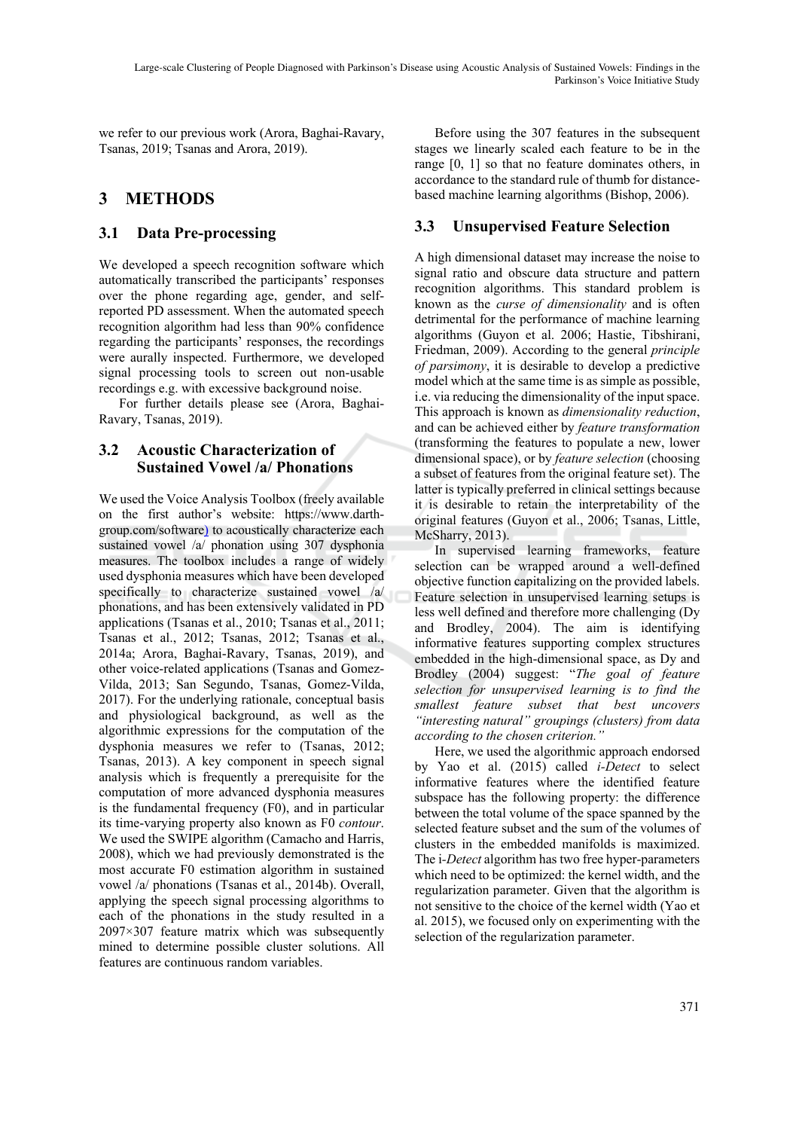we refer to our previous work (Arora, Baghai-Ravary, Tsanas, 2019; Tsanas and Arora, 2019).

## **3 METHODS**

### **3.1 Data Pre-processing**

We developed a speech recognition software which automatically transcribed the participants' responses over the phone regarding age, gender, and selfreported PD assessment. When the automated speech recognition algorithm had less than 90% confidence regarding the participants' responses, the recordings were aurally inspected. Furthermore, we developed signal processing tools to screen out non-usable recordings e.g. with excessive background noise.

For further details please see (Arora, Baghai-Ravary, Tsanas, 2019).

#### **3.2 Acoustic Characterization of Sustained Vowel /a/ Phonations**

We used the Voice Analysis Toolbox (freely available on the first author's website: https://www.darthgroup.com/software) to acoustically characterize each sustained vowel /a/ phonation using 307 dysphonia measures. The toolbox includes a range of widely used dysphonia measures which have been developed specifically to characterize sustained vowel /a/ phonations, and has been extensively validated in PD applications (Tsanas et al., 2010; Tsanas et al., 2011; Tsanas et al., 2012; Tsanas, 2012; Tsanas et al., 2014a; Arora, Baghai-Ravary, Tsanas, 2019), and other voice-related applications (Tsanas and Gomez-Vilda, 2013; San Segundo, Tsanas, Gomez-Vilda, 2017). For the underlying rationale, conceptual basis and physiological background, as well as the algorithmic expressions for the computation of the dysphonia measures we refer to (Tsanas, 2012; Tsanas, 2013). A key component in speech signal analysis which is frequently a prerequisite for the computation of more advanced dysphonia measures is the fundamental frequency (F0), and in particular its time-varying property also known as F0 *contour*. We used the SWIPE algorithm (Camacho and Harris, 2008), which we had previously demonstrated is the most accurate F0 estimation algorithm in sustained vowel /a/ phonations (Tsanas et al., 2014b). Overall, applying the speech signal processing algorithms to each of the phonations in the study resulted in a 2097×307 feature matrix which was subsequently mined to determine possible cluster solutions. All features are continuous random variables.

Before using the 307 features in the subsequent stages we linearly scaled each feature to be in the range [0, 1] so that no feature dominates others, in accordance to the standard rule of thumb for distancebased machine learning algorithms (Bishop, 2006).

## **3.3 Unsupervised Feature Selection**

A high dimensional dataset may increase the noise to signal ratio and obscure data structure and pattern recognition algorithms. This standard problem is known as the *curse of dimensionality* and is often detrimental for the performance of machine learning algorithms (Guyon et al. 2006; Hastie, Tibshirani, Friedman, 2009). According to the general *principle of parsimony*, it is desirable to develop a predictive model which at the same time is as simple as possible, i.e. via reducing the dimensionality of the input space. This approach is known as *dimensionality reduction*, and can be achieved either by *feature transformation* (transforming the features to populate a new, lower dimensional space), or by *feature selection* (choosing a subset of features from the original feature set). The latter is typically preferred in clinical settings because it is desirable to retain the interpretability of the original features (Guyon et al., 2006; Tsanas, Little, McSharry, 2013).

In supervised learning frameworks, feature selection can be wrapped around a well-defined objective function capitalizing on the provided labels. Feature selection in unsupervised learning setups is less well defined and therefore more challenging (Dy and Brodley, 2004). The aim is identifying informative features supporting complex structures embedded in the high-dimensional space, as Dy and Brodley (2004) suggest: "*The goal of feature selection for unsupervised learning is to find the smallest feature subset that best uncovers "interesting natural" groupings (clusters) from data according to the chosen criterion."* 

Here, we used the algorithmic approach endorsed by Yao et al. (2015) called *i-Detect* to select informative features where the identified feature subspace has the following property: the difference between the total volume of the space spanned by the selected feature subset and the sum of the volumes of clusters in the embedded manifolds is maximized. The i*-Detect* algorithm has two free hyper-parameters which need to be optimized: the kernel width, and the regularization parameter. Given that the algorithm is not sensitive to the choice of the kernel width (Yao et al. 2015), we focused only on experimenting with the selection of the regularization parameter.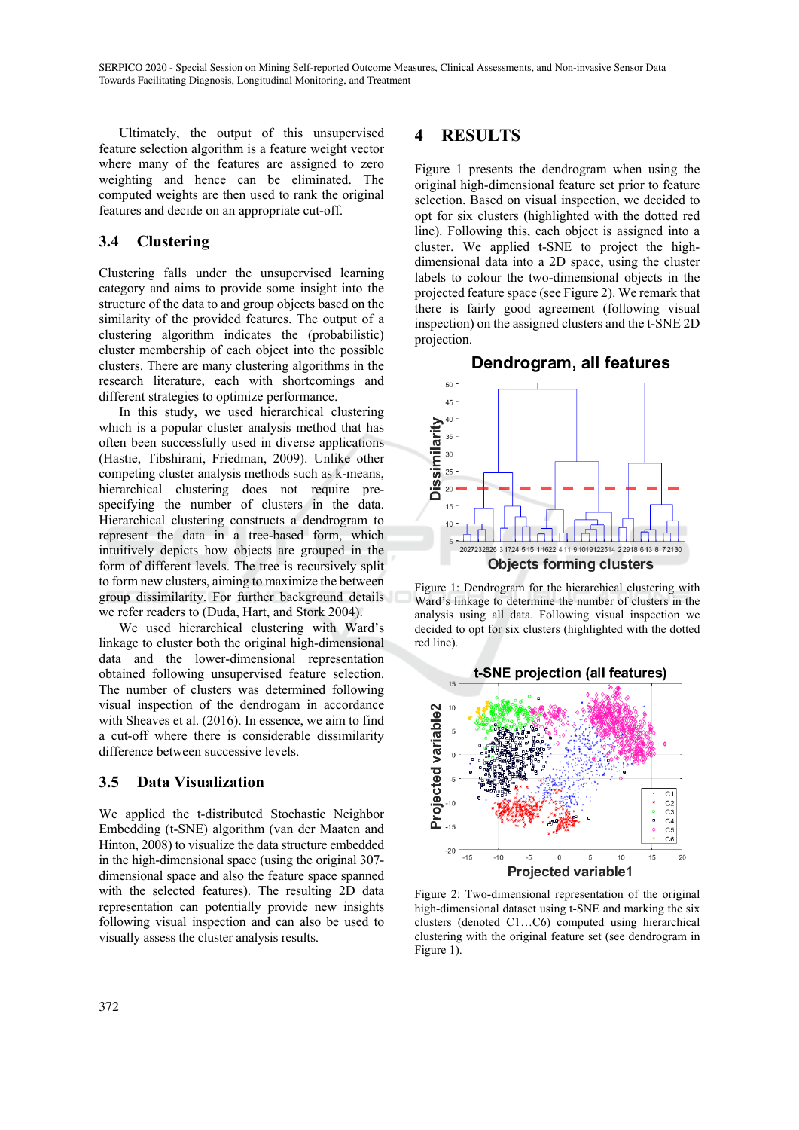Ultimately, the output of this unsupervised feature selection algorithm is a feature weight vector where many of the features are assigned to zero weighting and hence can be eliminated. The computed weights are then used to rank the original features and decide on an appropriate cut-off.

### **3.4 Clustering**

Clustering falls under the unsupervised learning category and aims to provide some insight into the structure of the data to and group objects based on the similarity of the provided features. The output of a clustering algorithm indicates the (probabilistic) cluster membership of each object into the possible clusters. There are many clustering algorithms in the research literature, each with shortcomings and different strategies to optimize performance.

In this study, we used hierarchical clustering which is a popular cluster analysis method that has often been successfully used in diverse applications (Hastie, Tibshirani, Friedman, 2009). Unlike other competing cluster analysis methods such as k-means, hierarchical clustering does not require prespecifying the number of clusters in the data. Hierarchical clustering constructs a dendrogram to represent the data in a tree-based form, which intuitively depicts how objects are grouped in the form of different levels. The tree is recursively split to form new clusters, aiming to maximize the between group dissimilarity. For further background details we refer readers to (Duda, Hart, and Stork 2004).

We used hierarchical clustering with Ward's linkage to cluster both the original high-dimensional data and the lower-dimensional representation obtained following unsupervised feature selection. The number of clusters was determined following visual inspection of the dendrogam in accordance with Sheaves et al. (2016). In essence, we aim to find a cut-off where there is considerable dissimilarity difference between successive levels.

#### **3.5 Data Visualization**

We applied the t-distributed Stochastic Neighbor Embedding (t-SNE) algorithm (van der Maaten and Hinton, 2008) to visualize the data structure embedded in the high-dimensional space (using the original 307 dimensional space and also the feature space spanned with the selected features). The resulting 2D data representation can potentially provide new insights following visual inspection and can also be used to visually assess the cluster analysis results.

### **4 RESULTS**

Figure 1 presents the dendrogram when using the original high-dimensional feature set prior to feature selection. Based on visual inspection, we decided to opt for six clusters (highlighted with the dotted red line). Following this, each object is assigned into a cluster. We applied t-SNE to project the highdimensional data into a 2D space, using the cluster labels to colour the two-dimensional objects in the projected feature space (see Figure 2). We remark that there is fairly good agreement (following visual inspection) on the assigned clusters and the t-SNE 2D projection.

#### Dendrogram, all features



Figure 1: Dendrogram for the hierarchical clustering with Ward's linkage to determine the number of clusters in the analysis using all data. Following visual inspection we decided to opt for six clusters (highlighted with the dotted red line).



Figure 2: Two-dimensional representation of the original high-dimensional dataset using t-SNE and marking the six clusters (denoted C1…C6) computed using hierarchical clustering with the original feature set (see dendrogram in Figure 1).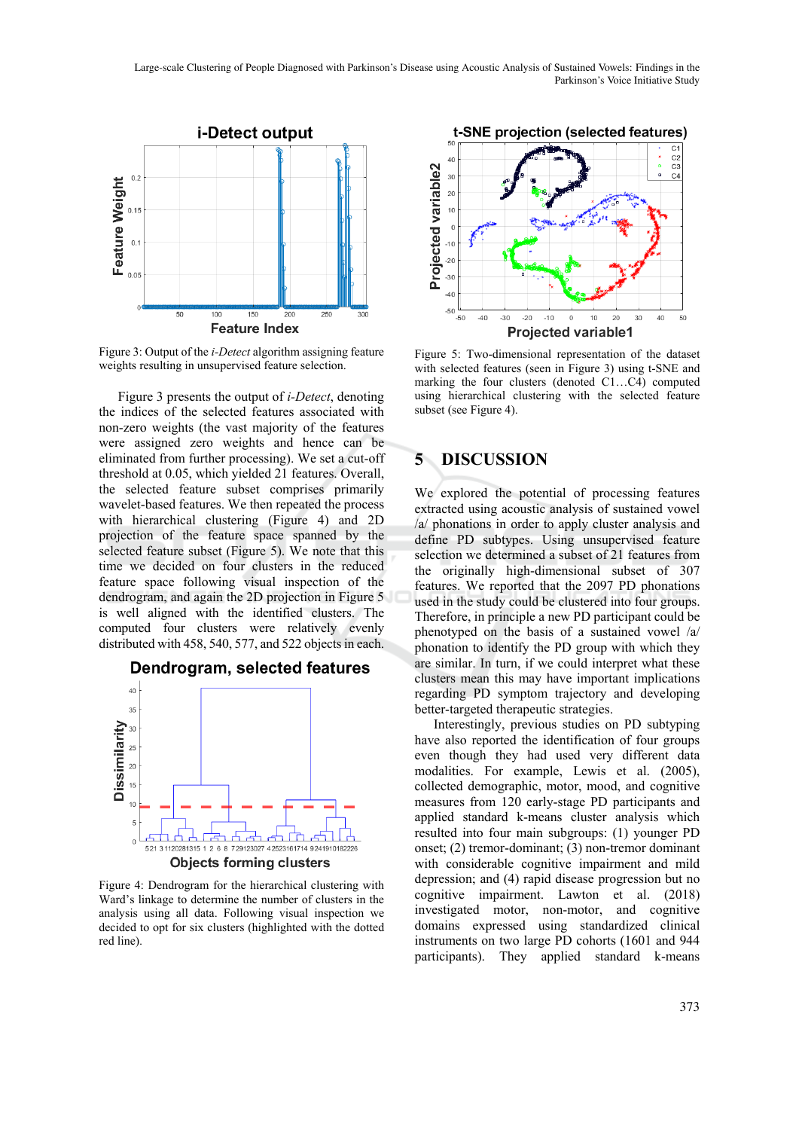Large-scale Clustering of People Diagnosed with Parkinson's Disease using Acoustic Analysis of Sustained Vowels: Findings in the Parkinson's Voice Initiative Study



Figure 3: Output of the *i-Detect* algorithm assigning feature weights resulting in unsupervised feature selection.

Figure 3 presents the output of *i-Detect*, denoting the indices of the selected features associated with non-zero weights (the vast majority of the features were assigned zero weights and hence can be eliminated from further processing). We set a cut-off threshold at 0.05, which yielded 21 features. Overall, the selected feature subset comprises primarily wavelet-based features. We then repeated the process with hierarchical clustering (Figure 4) and 2D projection of the feature space spanned by the selected feature subset (Figure 5). We note that this time we decided on four clusters in the reduced feature space following visual inspection of the dendrogram, and again the 2D projection in Figure 5 is well aligned with the identified clusters. The computed four clusters were relatively evenly distributed with 458, 540, 577, and 522 objects in each.



Figure 4: Dendrogram for the hierarchical clustering with Ward's linkage to determine the number of clusters in the analysis using all data. Following visual inspection we decided to opt for six clusters (highlighted with the dotted red line).



Figure 5: Two-dimensional representation of the dataset with selected features (seen in Figure 3) using t-SNE and marking the four clusters (denoted C1…C4) computed using hierarchical clustering with the selected feature subset (see Figure 4).

### **5 DISCUSSION**

We explored the potential of processing features extracted using acoustic analysis of sustained vowel /a/ phonations in order to apply cluster analysis and define PD subtypes. Using unsupervised feature selection we determined a subset of 21 features from the originally high-dimensional subset of 307 features. We reported that the 2097 PD phonations used in the study could be clustered into four groups. Therefore, in principle a new PD participant could be phenotyped on the basis of a sustained vowel /a/ phonation to identify the PD group with which they are similar. In turn, if we could interpret what these clusters mean this may have important implications regarding PD symptom trajectory and developing better-targeted therapeutic strategies.

Interestingly, previous studies on PD subtyping have also reported the identification of four groups even though they had used very different data modalities. For example, Lewis et al. (2005), collected demographic, motor, mood, and cognitive measures from 120 early-stage PD participants and applied standard k-means cluster analysis which resulted into four main subgroups: (1) younger PD onset; (2) tremor-dominant; (3) non-tremor dominant with considerable cognitive impairment and mild depression; and (4) rapid disease progression but no cognitive impairment. Lawton et al. (2018) investigated motor, non-motor, and cognitive domains expressed using standardized clinical instruments on two large PD cohorts (1601 and 944 participants). They applied standard k-means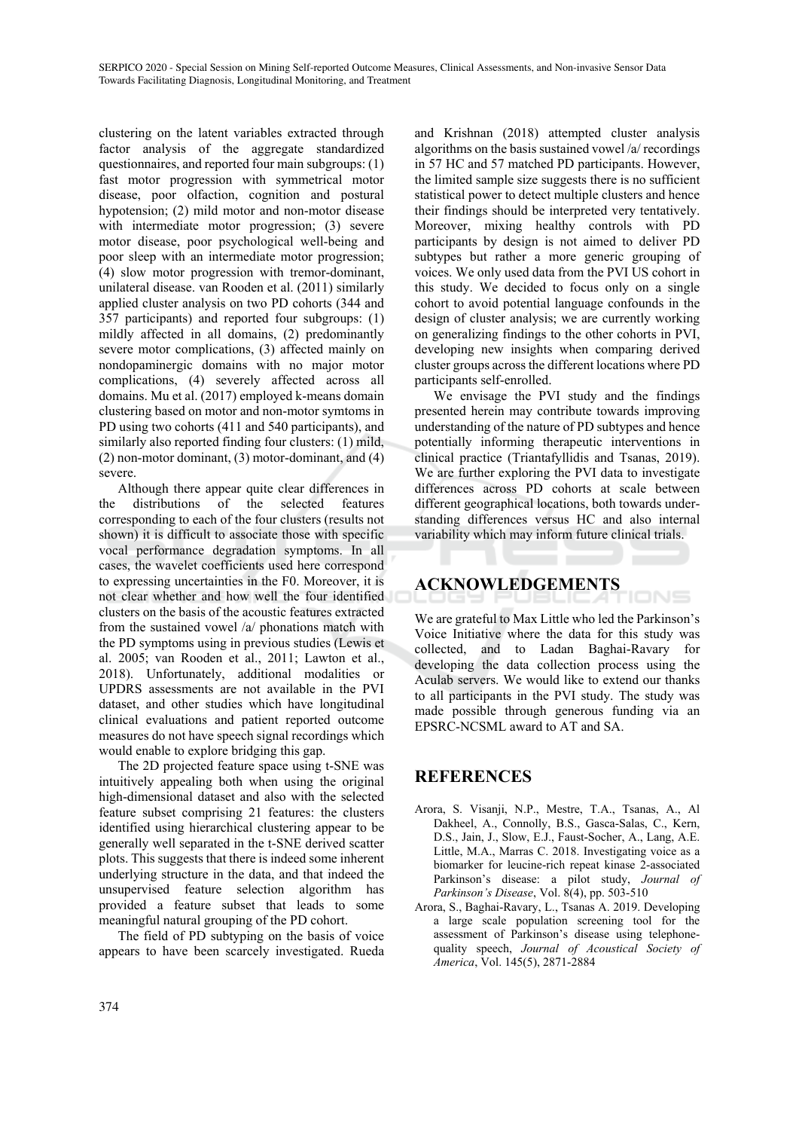clustering on the latent variables extracted through factor analysis of the aggregate standardized questionnaires, and reported four main subgroups: (1) fast motor progression with symmetrical motor disease, poor olfaction, cognition and postural hypotension; (2) mild motor and non-motor disease with intermediate motor progression; (3) severe motor disease, poor psychological well-being and poor sleep with an intermediate motor progression; (4) slow motor progression with tremor-dominant, unilateral disease. van Rooden et al. (2011) similarly applied cluster analysis on two PD cohorts (344 and 357 participants) and reported four subgroups: (1) mildly affected in all domains, (2) predominantly severe motor complications, (3) affected mainly on nondopaminergic domains with no major motor complications, (4) severely affected across all domains. Mu et al. (2017) employed k-means domain clustering based on motor and non-motor symtoms in PD using two cohorts (411 and 540 participants), and similarly also reported finding four clusters: (1) mild, (2) non-motor dominant, (3) motor-dominant, and (4) severe.

Although there appear quite clear differences in the distributions of the selected features corresponding to each of the four clusters (results not shown) it is difficult to associate those with specific vocal performance degradation symptoms. In all cases, the wavelet coefficients used here correspond to expressing uncertainties in the F0. Moreover, it is not clear whether and how well the four identified clusters on the basis of the acoustic features extracted from the sustained vowel /a/ phonations match with the PD symptoms using in previous studies (Lewis et al. 2005; van Rooden et al., 2011; Lawton et al., 2018). Unfortunately, additional modalities or UPDRS assessments are not available in the PVI dataset, and other studies which have longitudinal clinical evaluations and patient reported outcome measures do not have speech signal recordings which would enable to explore bridging this gap.

The 2D projected feature space using t-SNE was intuitively appealing both when using the original high-dimensional dataset and also with the selected feature subset comprising 21 features: the clusters identified using hierarchical clustering appear to be generally well separated in the t-SNE derived scatter plots. This suggests that there is indeed some inherent underlying structure in the data, and that indeed the unsupervised feature selection algorithm has provided a feature subset that leads to some meaningful natural grouping of the PD cohort.

The field of PD subtyping on the basis of voice appears to have been scarcely investigated. Rueda

and Krishnan (2018) attempted cluster analysis algorithms on the basis sustained vowel /a/ recordings in 57 HC and 57 matched PD participants. However, the limited sample size suggests there is no sufficient statistical power to detect multiple clusters and hence their findings should be interpreted very tentatively. Moreover, mixing healthy controls with PD participants by design is not aimed to deliver PD subtypes but rather a more generic grouping of voices. We only used data from the PVI US cohort in this study. We decided to focus only on a single cohort to avoid potential language confounds in the design of cluster analysis; we are currently working on generalizing findings to the other cohorts in PVI, developing new insights when comparing derived cluster groups across the different locations where PD participants self-enrolled.

We envisage the PVI study and the findings presented herein may contribute towards improving understanding of the nature of PD subtypes and hence potentially informing therapeutic interventions in clinical practice (Triantafyllidis and Tsanas, 2019). We are further exploring the PVI data to investigate differences across PD cohorts at scale between different geographical locations, both towards understanding differences versus HC and also internal variability which may inform future clinical trials.

# **ACKNOWLEDGEMENTS**

We are grateful to Max Little who led the Parkinson's Voice Initiative where the data for this study was collected, and to Ladan Baghai-Ravary for developing the data collection process using the Aculab servers. We would like to extend our thanks to all participants in the PVI study. The study was made possible through generous funding via an EPSRC-NCSML award to AT and SA.

IONS

### **REFERENCES**

- Arora, S. Visanji, N.P., Mestre, T.A., Tsanas, A., Al Dakheel, A., Connolly, B.S., Gasca-Salas, C., Kern, D.S., Jain, J., Slow, E.J., Faust-Socher, A., Lang, A.E. Little, M.A., Marras C. 2018. Investigating voice as a biomarker for leucine-rich repeat kinase 2-associated Parkinson's disease: a pilot study, *Journal of Parkinson's Disease*, Vol. 8(4), pp. 503-510
- Arora, S., Baghai-Ravary, L., Tsanas A. 2019. Developing a large scale population screening tool for the assessment of Parkinson's disease using telephonequality speech, *Journal of Acoustical Society of America*, Vol. 145(5), 2871-2884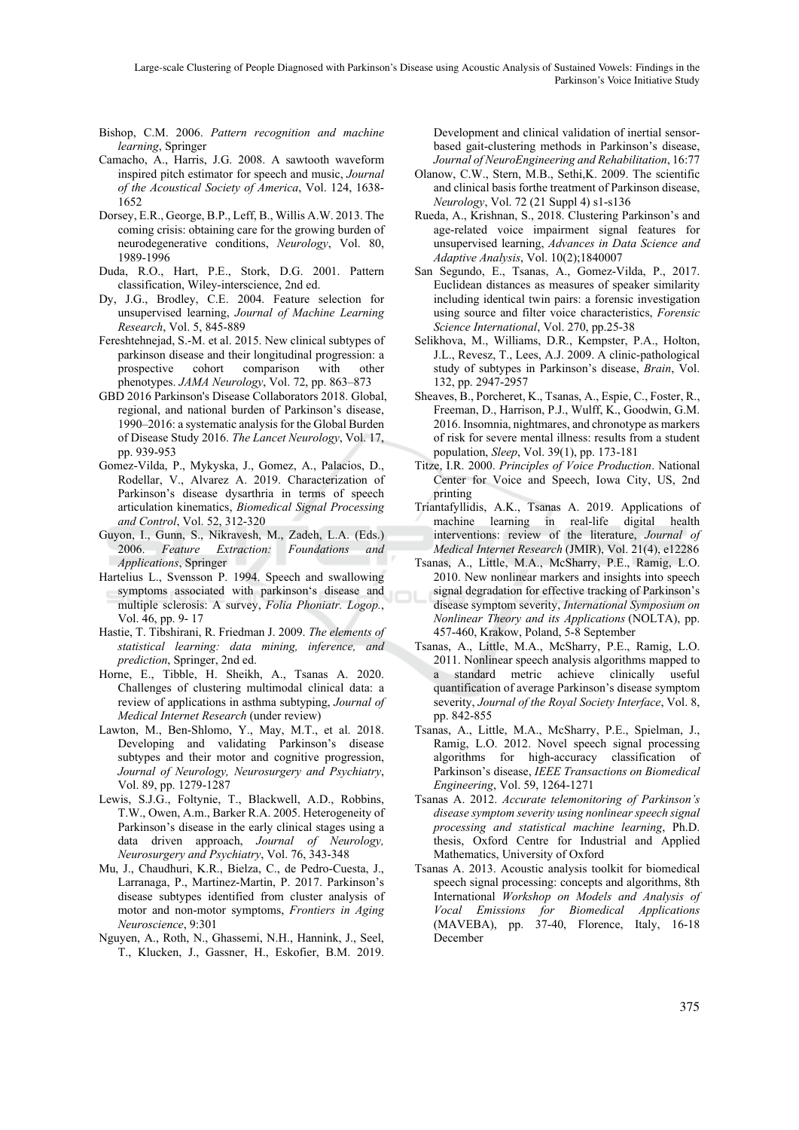Large-scale Clustering of People Diagnosed with Parkinson's Disease using Acoustic Analysis of Sustained Vowels: Findings in the Parkinson's Voice Initiative Study

- Bishop, C.M. 2006. *Pattern recognition and machine learning*, Springer
- Camacho, A., Harris, J.G. 2008. A sawtooth waveform inspired pitch estimator for speech and music, *Journal of the Acoustical Society of America*, Vol. 124, 1638- 1652
- Dorsey, E.R., George, B.P., Leff, B., Willis A.W. 2013. The coming crisis: obtaining care for the growing burden of neurodegenerative conditions, *Neurology*, Vol. 80, 1989-1996
- Duda, R.O., Hart, P.E., Stork, D.G. 2001. Pattern classification, Wiley-interscience, 2nd ed.
- Dy, J.G., Brodley, C.E. 2004. Feature selection for unsupervised learning, *Journal of Machine Learning Research*, Vol. 5, 845-889
- Fereshtehnejad, S.-M. et al. 2015. New clinical subtypes of parkinson disease and their longitudinal progression: a prospective cohort comparison with other phenotypes. *JAMA Neurology*, Vol. 72, pp. 863–873
- GBD 2016 Parkinson's Disease Collaborators 2018. Global, regional, and national burden of Parkinson's disease, 1990–2016: a systematic analysis for the Global Burden of Disease Study 2016. *The Lancet Neurology*, Vol. 17, pp. 939-953
- Gomez-Vilda, P., Mykyska, J., Gomez, A., Palacios, D., Rodellar, V., Alvarez A. 2019. Characterization of Parkinson's disease dysarthria in terms of speech articulation kinematics, *Biomedical Signal Processing and Control*, Vol. 52, 312-320
- Guyon, I., Gunn, S., Nikravesh, M., Zadeh, L.A. (Eds.) 2006. *Feature Extraction: Foundations and Applications*, Springer
- Hartelius L., Svensson P. 1994. Speech and swallowing symptoms associated with parkinson's disease and multiple sclerosis: A survey, *Folia Phoniatr. Logop.*, Vol. 46, pp. 9- 17
- Hastie, T. Tibshirani, R. Friedman J. 2009. *The elements of statistical learning: data mining, inference, and prediction*, Springer, 2nd ed.
- Horne, E., Tibble, H. Sheikh, A., Tsanas A. 2020. Challenges of clustering multimodal clinical data: a review of applications in asthma subtyping, *Journal of Medical Internet Research* (under review)
- Lawton, M., Ben-Shlomo, Y., May, M.T., et al. 2018. Developing and validating Parkinson's disease subtypes and their motor and cognitive progression, *Journal of Neurology, Neurosurgery and Psychiatry*, Vol. 89, pp. 1279-1287
- Lewis, S.J.G., Foltynie, T., Blackwell, A.D., Robbins, T.W., Owen, A.m., Barker R.A. 2005. Heterogeneity of Parkinson's disease in the early clinical stages using a data driven approach, *Journal of Neurology, Neurosurgery and Psychiatry*, Vol. 76, 343-348
- Mu, J., Chaudhuri, K.R., Bielza, C., de Pedro-Cuesta, J., Larranaga, P., Martinez-Martin, P. 2017. Parkinson's disease subtypes identified from cluster analysis of motor and non-motor symptoms, *Frontiers in Aging Neuroscience*, 9:301
- Nguyen, A., Roth, N., Ghassemi, N.H., Hannink, J., Seel, T., Klucken, J., Gassner, H., Eskofier, B.M. 2019.

Development and clinical validation of inertial sensorbased gait-clustering methods in Parkinson's disease, *Journal of NeuroEngineering and Rehabilitation*, 16:77

- Olanow, C.W., Stern, M.B., Sethi,K. 2009. The scientific and clinical basis forthe treatment of Parkinson disease, *Neurology*, Vol. 72 (21 Suppl 4) s1-s136
- Rueda, A., Krishnan, S., 2018. Clustering Parkinson's and age-related voice impairment signal features for unsupervised learning, *Advances in Data Science and Adaptive Analysis*, Vol. 10(2);1840007
- San Segundo, E., Tsanas, A., Gomez-Vilda, P., 2017. Euclidean distances as measures of speaker similarity including identical twin pairs: a forensic investigation using source and filter voice characteristics, *Forensic Science International*, Vol. 270, pp.25-38
- Selikhova, M., Williams, D.R., Kempster, P.A., Holton, J.L., Revesz, T., Lees, A.J. 2009. A clinic-pathological study of subtypes in Parkinson's disease, *Brain*, Vol. 132, pp. 2947-2957
- Sheaves, B., Porcheret, K., Tsanas, A., Espie, C., Foster, R., Freeman, D., Harrison, P.J., Wulff, K., Goodwin, G.M. 2016. Insomnia, nightmares, and chronotype as markers of risk for severe mental illness: results from a student population, *Sleep*, Vol. 39(1), pp. 173-181
- Titze, I.R. 2000. *Principles of Voice Production*. National Center for Voice and Speech, Iowa City, US, 2nd printing
- Triantafyllidis, A.K., Tsanas A. 2019. Applications of machine learning in real-life digital health interventions: review of the literature, *Journal of Medical Internet Research* (JMIR), Vol. 21(4), e12286
- Tsanas, A., Little, M.A., McSharry, P.E., Ramig, L.O. 2010. New nonlinear markers and insights into speech signal degradation for effective tracking of Parkinson's disease symptom severity, *International Symposium on Nonlinear Theory and its Applications* (NOLTA), pp. 457-460, Krakow, Poland, 5-8 September
- Tsanas, A., Little, M.A., McSharry, P.E., Ramig, L.O. 2011. Nonlinear speech analysis algorithms mapped to a standard metric achieve clinically useful quantification of average Parkinson's disease symptom severity, *Journal of the Royal Society Interface*, Vol. 8, pp. 842-855
- Tsanas, A., Little, M.A., McSharry, P.E., Spielman, J., Ramig, L.O. 2012. Novel speech signal processing algorithms for high-accuracy classification of Parkinson's disease, *IEEE Transactions on Biomedical Engineering*, Vol. 59, 1264-1271
- Tsanas A. 2012. *Accurate telemonitoring of Parkinson's disease symptom severity using nonlinear speech signal processing and statistical machine learning*, Ph.D. thesis, Oxford Centre for Industrial and Applied Mathematics, University of Oxford
- Tsanas A. 2013. Acoustic analysis toolkit for biomedical speech signal processing: concepts and algorithms, 8th International *Workshop on Models and Analysis of Vocal Emissions for Biomedical Applications* (MAVEBA), pp. 37-40, Florence, Italy, 16-18 December